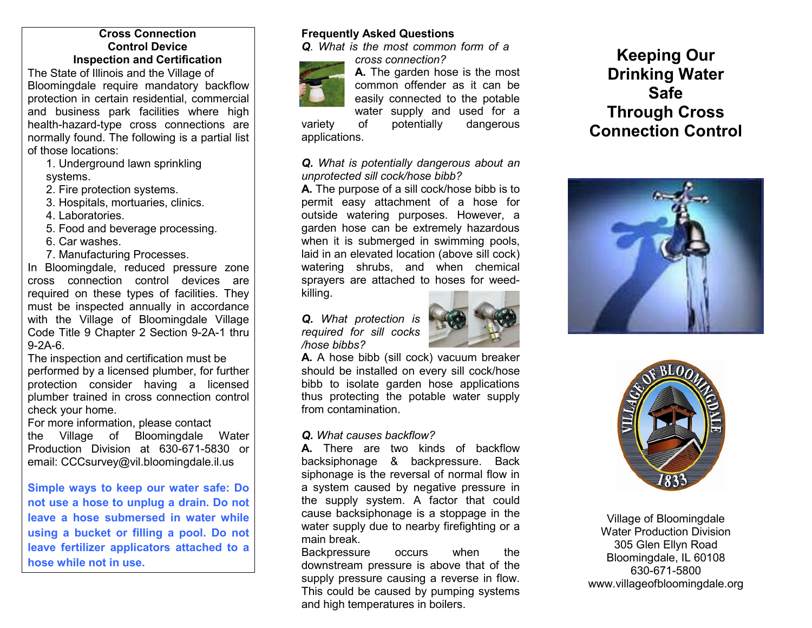### **Cross Connection Control Device Inspection and Certification**

The State of Illinois and the Village of Bloomingdale require mandatory backflow protection in certain residential, commercial and business park facilities where high health-hazard-type cross connections are normally found. The following is a partial list of those locations:

 1. Underground lawn sprinkling systems.

2. Fire protection systems.

3. Hospitals, mortuaries, clinics.

4. Laboratories.

5. Food and beverage processing.

6. Car washes.

7. Manufacturing Processes.

 In Bloomingdale, reduced pressure zone cross connection control devices are required on these types of facilities. They must be inspected annually in accordance with the Village of Bloomingdale Village Code Title 9 Chapter 2 Section 9-2A-1 thru 9-2A-6.

 The inspection and certification must be performed by a licensed plumber, for further protection consider having a licensed plumber trained in cross connection control check your home.

For more information, please contact

 the Village of Bloomingdale Water Production Division at 630-671-5830 or email: CCCsurvey@vil.bloomingdale.il.us

**Simple ways to keep our water safe: Do not use a hose to unplug a drain. Do not leave a hose submersed in water while using a bucket or filling a pool. Do not leave fertilizer applicators attached to a hose while not in use.**

## **Frequently Asked Questions**

*Q. What is the most common form of a cross connection?* 



 **A.** The garden hose is the most common offender as it can be easily connected to the potable water supply and used for a

variety of potentially dangerous applications.

### *Q. What is potentially dangerous about an unprotected sill cock/hose bibb?*

 **A.** The purpose of a sill cock/hose bibb is to permit easy attachment of a hose for outside watering purposes. However, a garden hose can be extremely hazardous when it is submerged in swimming pools, laid in an elevated location (above sill cock) watering shrubs, and when chemical sprayers are attached to hoses for weedkilling.

*Q. What protection is required for sill cocks /hose bibbs?*



 **A.** A hose bibb (sill cock) vacuum breaker should be installed on every sill cock/hose bibb to isolate garden hose applications thus protecting the potable water supply from contamination.

### *Q. What causes backflow?*

 **A.** There are two kinds of backflow backsiphonage & backpressure. Back siphonage is the reversal of normal flow in a system caused by negative pressure in the supply system. A factor that could cause backsiphonage is a stoppage in the water supply due to nearby firefighting or a main break.

 Backpressure occurs when the downstream pressure is above that of the supply pressure causing a reverse in flow. This could be caused by pumping systems and high temperatures in boilers.

# **Keeping Our Drinking Water Safe Through Cross Connection Control**





Village of Bloomingdale Water Production Division 305 Glen Ellyn Road Bloomingdale, IL 60108 630-671-5800 www.villageofbloomingdale.org